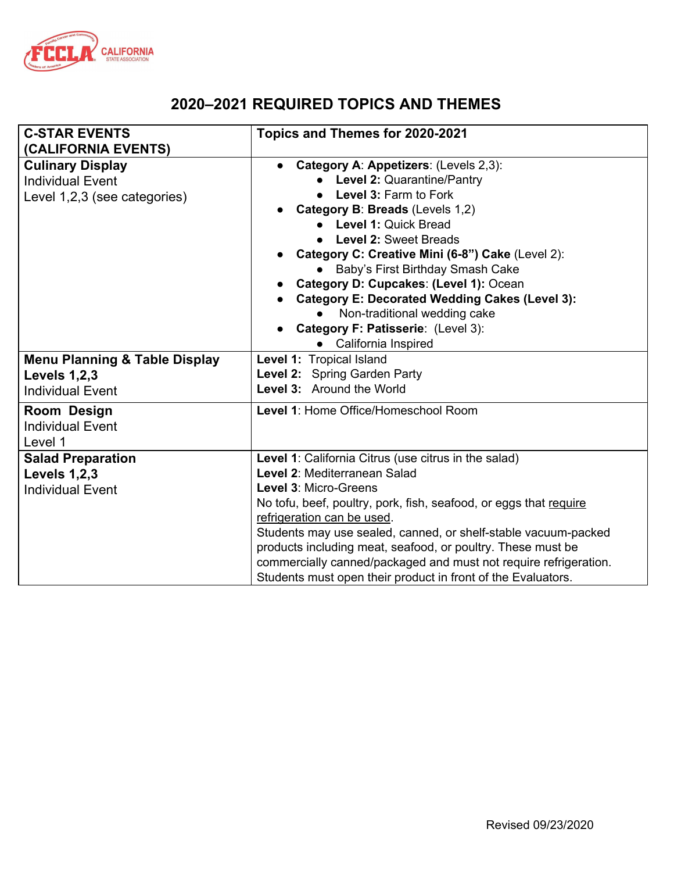

## **2020–2021 REQUIRED TOPICS AND THEMES**

| <b>C-STAR EVENTS</b><br>(CALIFORNIA EVENTS)                                                | Topics and Themes for 2020-2021                                                                                                                                                                                                                                                                                                                                                                                                                                                       |
|--------------------------------------------------------------------------------------------|---------------------------------------------------------------------------------------------------------------------------------------------------------------------------------------------------------------------------------------------------------------------------------------------------------------------------------------------------------------------------------------------------------------------------------------------------------------------------------------|
| <b>Culinary Display</b><br><b>Individual Event</b><br>Level 1,2,3 (see categories)         | Category A: Appetizers: (Levels 2,3):<br>Level 2: Quarantine/Pantry<br>Level 3: Farm to Fork<br>Category B: Breads (Levels 1,2)<br>• Level 1: Quick Bread<br><b>Level 2: Sweet Breads</b><br>Category C: Creative Mini (6-8") Cake (Level 2):<br>Baby's First Birthday Smash Cake<br>Category D: Cupcakes: (Level 1): Ocean<br><b>Category E: Decorated Wedding Cakes (Level 3):</b><br>Non-traditional wedding cake<br>Category F: Patisserie: (Level 3):<br>California Inspired     |
| <b>Menu Planning &amp; Table Display</b><br><b>Levels 1,2,3</b><br><b>Individual Event</b> | Level 1: Tropical Island<br>Level 2: Spring Garden Party<br>Level 3: Around the World                                                                                                                                                                                                                                                                                                                                                                                                 |
| Room Design<br><b>Individual Event</b><br>Level 1                                          | Level 1: Home Office/Homeschool Room                                                                                                                                                                                                                                                                                                                                                                                                                                                  |
| <b>Salad Preparation</b><br><b>Levels 1,2,3</b><br><b>Individual Event</b>                 | Level 1: California Citrus (use citrus in the salad)<br>Level 2: Mediterranean Salad<br>Level 3: Micro-Greens<br>No tofu, beef, poultry, pork, fish, seafood, or eggs that require<br>refrigeration can be used.<br>Students may use sealed, canned, or shelf-stable vacuum-packed<br>products including meat, seafood, or poultry. These must be<br>commercially canned/packaged and must not require refrigeration.<br>Students must open their product in front of the Evaluators. |